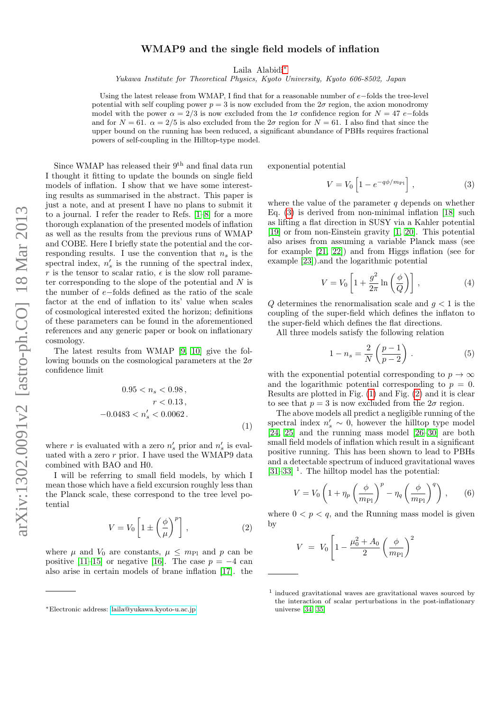## WMAP9 and the single field models of inflation

Laila Alabidi[∗](#page-0-0)

Yukawa Institute for Theoretical Physics, Kyoto University, Kyoto 606-8502, Japan

Using the latest release from WMAP, I find that for a reasonable number of e−folds the tree-level potential with self coupling power  $p = 3$  is now excluded from the  $2\sigma$  region, the axion monodromy model with the power  $\alpha = 2/3$  is now excluded from the 1 $\sigma$  confidence region for  $N = 47$  e–folds and for  $N = 61$ .  $\alpha = 2/5$  is also excluded from the  $2\sigma$  region for  $N = 61$ . I also find that since the upper bound on the running has been reduced, a significant abundance of PBHs requires fractional powers of self-coupling in the Hilltop-type model.

Since WMAP has released their  $9<sup>th</sup>$  and final data run I thought it fitting to update the bounds on single field models of inflation. I show that we have some interesting results as summarised in the abstract. This paper is just a note, and at present I have no plans to submit it to a journal. I refer the reader to Refs. [\[1](#page-2-0)[–8\]](#page-2-1) for a more thorough explanation of the presented models of inflation as well as the results from the previous runs of WMAP and COBE. Here I briefly state the potential and the corresponding results. I use the convention that  $n_s$  is the spectral index,  $n'_{s}$  is the running of the spectral index, r is the tensor to scalar ratio,  $\epsilon$  is the slow roll parameter corresponding to the slope of the potential and  $N$  is the number of e−folds defined as the ratio of the scale factor at the end of inflation to its' value when scales of cosmological interested exited the horizon; definitions of these parameters can be found in the aforementioned references and any generic paper or book on inflationary cosmology.

The latest results from WMAP [\[9,](#page-2-2) [10\]](#page-2-3) give the following bounds on the cosmological parameters at the  $2\sigma$ confidence limit

$$
0.95 < n_s < 0.98 \,,
$$
\n
$$
r < 0.13 \,,
$$
\n
$$
-0.0483 < n'_s < 0.0062 \,. \tag{1}
$$

where  $r$  is evaluated with a zero  $n'_{s}$  prior and  $n'_{s}$  is evaluated with a zero r prior. I have used the WMAP9 data combined with BAO and H0.

I will be referring to small field models, by which I mean those which have a field excursion roughly less than the Planck scale, these correspond to the tree level potential

$$
V = V_0 \left[ 1 \pm \left( \frac{\phi}{\mu} \right)^p \right], \qquad (2)
$$

where  $\mu$  and  $V_0$  are constants,  $\mu \leq m_{\text{Pl}}$  and p can be positive [\[11](#page-2-4)[–15\]](#page-2-5) or negative [\[16\]](#page-2-6). The case  $p = -4$  can also arise in certain models of brane inflation [\[17\]](#page-2-7). the exponential potential

<span id="page-0-1"></span>
$$
V = V_0 \left[ 1 - e^{-q\phi/m_{\rm Pl}} \right],\tag{3}
$$

where the value of the parameter  $q$  depends on whether Eq. [\(3\)](#page-0-1) is derived from non-minimal inflation [\[18\]](#page-2-8) such as lifting a flat direction in SUSY via a Kahler potential [\[19\]](#page-2-9) or from non-Einstein gravity [\[1,](#page-2-0) [20\]](#page-2-10). This potential also arises from assuming a variable Planck mass (see for example [\[21,](#page-2-11) [22\]](#page-2-12)) and from Higgs inflation (see for example [\[23\]](#page-2-13)).and the logarithmic potential

$$
V = V_0 \left[ 1 + \frac{g^2}{2\pi} \ln\left(\frac{\phi}{Q}\right) \right],\tag{4}
$$

Q determines the renormalisation scale and  $q < 1$  is the coupling of the super-field which defines the inflaton to the super-field which defines the flat directions.

All three models satisfy the following relation

$$
1 - n_s = \frac{2}{N} \left( \frac{p-1}{p-2} \right) . \tag{5}
$$

with the exponential potential corresponding to  $p \to \infty$ and the logarithmic potential corresponding to  $p = 0$ . Results are plotted in Fig. [\(1\)](#page-1-0) and Fig. [\(2\)](#page-1-1) and it is clear to see that  $p = 3$  is now excluded from the  $2\sigma$  region.

The above models all predict a negligible running of the spectral index  $n'_{s} \sim 0$ , however the hilltop type model [\[24,](#page-2-14) [25\]](#page-2-15) and the running mass model [\[26–](#page-2-16)[30\]](#page-2-17) are both small field models of inflation which result in a significant positive running. This has been shown to lead to PBHs and a detectable spectrum of induced gravitational waves [\[31–](#page-2-18)[33\]](#page-2-19)<sup>1</sup>. The hilltop model has the potential:

$$
V = V_0 \left( 1 + \eta_p \left( \frac{\phi}{m_{\text{Pl}}} \right)^p - \eta_q \left( \frac{\phi}{m_{\text{Pl}}} \right)^q \right), \qquad (6)
$$

where  $0 < p < q$ , and the Running mass model is given by

$$
V = V_0 \left[ 1 - \frac{\mu_0^2 + A_0}{2} \left( \frac{\phi}{m_{\rm Pl}} \right)^2 \right]
$$

<span id="page-0-0"></span><sup>∗</sup>Electronic address: [laila@yukawa.kyoto-u.ac.jp](mailto:laila@yukawa.kyoto-u.ac.jp)

<sup>1</sup> induced gravitational waves are gravitational waves sourced by the interaction of scalar perturbations in the post-inflationary universe [\[34,](#page-3-0) [35\]](#page-3-1)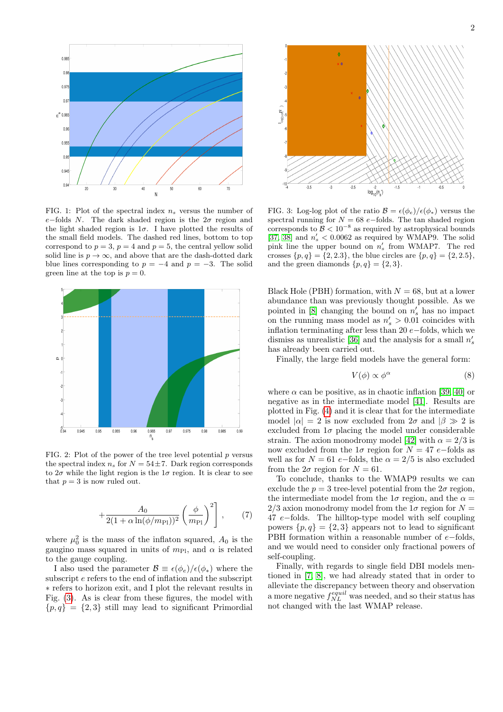



<span id="page-1-0"></span>FIG. 1: Plot of the spectral index  $n_s$  versus the number of e−folds N. The dark shaded region is the  $2\sigma$  region and the light shaded region is  $1\sigma$ . I have plotted the results of the small field models. The dashed red lines, bottom to top correspond to  $p = 3$ ,  $p = 4$  and  $p = 5$ , the central yellow solid solid line is  $p \to \infty$ , and above that are the dash-dotted dark blue lines corresponding to  $p = -4$  and  $p = -3$ . The solid green line at the top is  $p = 0$ .



<span id="page-1-1"></span>FIG. 2: Plot of the power of the tree level potential  $p$  versus the spectral index  $n_s$  for  $N = 54 \pm 7$ . Dark region corresponds to  $2\sigma$  while the light region is the  $1\sigma$  region. It is clear to see that  $p = 3$  is now ruled out.

$$
+\frac{A_0}{2(1+\alpha\ln(\phi/m_{\rm Pl}))^2} \left(\frac{\phi}{m_{\rm Pl}}\right)^2\right],\qquad(7)
$$

where  $\mu_0^2$  is the mass of the inflaton squared,  $A_0$  is the gaugino mass squared in units of  $m_{\text{Pl}}$ , and  $\alpha$  is related to the gauge coupling.

I also used the parameter  $\mathcal{B} \equiv \epsilon(\phi_e)/\epsilon(\phi_*)$  where the subscript e refers to the end of inflation and the subscript ∗ refers to horizon exit, and I plot the relevant results in Fig. [\(3\)](#page-1-2). As is clear from these figures, the model with  ${p, q} = {2, 3}$  still may lead to significant Primordial



<span id="page-1-2"></span>FIG. 3: Log-log plot of the ratio  $\mathcal{B} = \epsilon(\phi_e)/\epsilon(\phi_*)$  versus the spectral running for  $N = 68$  e−folds. The tan shaded region corresponds to  $\mathcal{B} < 10^{-8}$  as required by astrophysical bounds [\[37,](#page-3-2) [38\]](#page-3-3) and  $n_s' < 0.0062$  as required by WMAP9. The solid pink line the upper bound on  $n'_s$  from WMAP7. The red crosses  $\{p, q\} = \{2, 2.3\}$ , the blue circles are  $\{p, q\} = \{2, 2.5\}$ , and the green diamonds  $\{p,q\} = \{2,3\}.$ 

Black Hole (PBH) formation, with  $N = 68$ , but at a lower abundance than was previously thought possible. As we pointed in  $[8]$  changing the bound on  $n'_s$  has no impact on the running mass model as  $n'_{s} > 0.01$  coincides with inflation terminating after less than 20 e−folds, which we dismiss as unrealistic [\[36\]](#page-3-4) and the analysis for a small  $n_s^\prime$ has already been carried out.

Finally, the large field models have the general form:

$$
V(\phi) \propto \phi^{\alpha} \tag{8}
$$

where  $\alpha$  can be positive, as in chaotic inflation [\[39,](#page-3-5) [40\]](#page-3-6) or negative as in the intermediate model [\[41\]](#page-3-7). Results are plotted in Fig. [\(4\)](#page-2-20) and it is clear that for the intermediate model  $|\alpha| = 2$  is now excluded from  $2\sigma$  and  $|\beta \gg 2$  is excluded from  $1\sigma$  placing the model under considerable strain. The axion monodromy model [\[42\]](#page-3-8) with  $\alpha = 2/3$  is now excluded from the 1 $\sigma$  region for  $N = 47$  e−folds as well as for  $N = 61 e$ -folds, the  $\alpha = 2/5$  is also excluded from the  $2\sigma$  region for  $N = 61$ .

To conclude, thanks to the WMAP9 results we can exclude the  $p = 3$  tree-level potential from the  $2\sigma$  region, the intermediate model from the  $1\sigma$  region, and the  $\alpha =$ 2/3 axion monodromy model from the  $1\sigma$  region for  $N =$ 47 e−folds. The hilltop-type model with self coupling powers  $\{p, q\} = \{2, 3\}$  appears not to lead to significant PBH formation within a reasonable number of  $e$ -folds, and we would need to consider only fractional powers of self-coupling.

Finally, with regards to single field DBI models mentioned in [\[7,](#page-2-21) [8\]](#page-2-1), we had already stated that in order to alleviate the discrepancy between theory and observation a more negative  $f_{NL}^{equil}$  was needed, and so their status has not changed with the last WMAP release.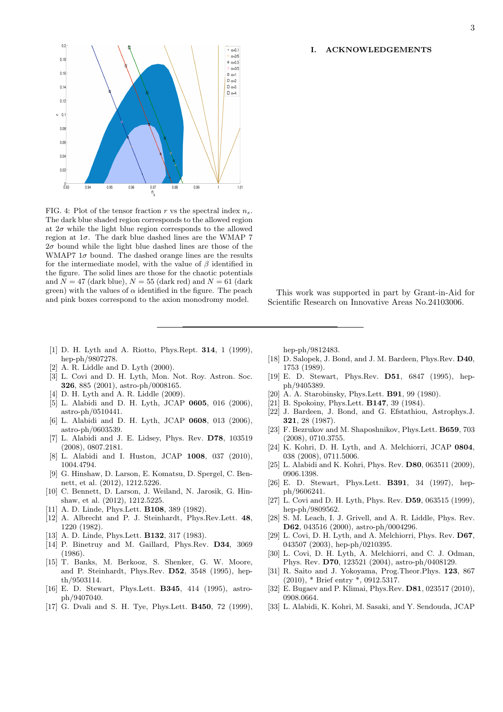## I. ACKNOWLEDGEMENTS



<span id="page-2-20"></span>FIG. 4: Plot of the tensor fraction r vs the spectral index  $n_s$ . The dark blue shaded region corresponds to the allowed region at  $2\sigma$  while the light blue region corresponds to the allowed region at  $1\sigma$ . The dark blue dashed lines are the WMAP 7  $2\sigma$  bound while the light blue dashed lines are those of the WMAP7  $1\sigma$  bound. The dashed orange lines are the results for the intermediate model, with the value of  $\beta$  identified in the figure. The solid lines are those for the chaotic potentials and  $N = 47$  (dark blue),  $N = 55$  (dark red) and  $N = 61$  (dark green) with the values of  $\alpha$  identified in the figure. The peach and pink boxes correspond to the axion monodromy model.

- <span id="page-2-0"></span>[1] D. H. Lyth and A. Riotto, Phys.Rept. 314, 1 (1999), hep-ph/9807278.
- [2] A. R. Liddle and D. Lyth (2000).
- [3] L. Covi and D. H. Lyth, Mon. Not. Roy. Astron. Soc. 326, 885 (2001), astro-ph/0008165.
- [4] D. H. Lyth and A. R. Liddle (2009).
- [5] L. Alabidi and D. H. Lyth, JCAP 0605, 016 (2006), astro-ph/0510441.
- [6] L. Alabidi and D. H. Lyth, JCAP 0608, 013 (2006), astro-ph/0603539.
- <span id="page-2-21"></span>[7] L. Alabidi and J. E. Lidsey, Phys. Rev. D78, 103519 (2008), 0807.2181.
- <span id="page-2-1"></span>[8] L. Alabidi and I. Huston, JCAP 1008, 037 (2010), 1004.4794.
- <span id="page-2-2"></span>[9] G. Hinshaw, D. Larson, E. Komatsu, D. Spergel, C. Bennett, et al. (2012), 1212.5226.
- <span id="page-2-3"></span>[10] C. Bennett, D. Larson, J. Weiland, N. Jarosik, G. Hinshaw, et al. (2012), 1212.5225.
- <span id="page-2-4"></span>[11] A. D. Linde, Phys.Lett. B108, 389 (1982).
- [12] A. Albrecht and P. J. Steinhardt, Phys.Rev.Lett. 48, 1220 (1982).
- [13] A. D. Linde, Phys.Lett. **B132**, 317 (1983).
- [14] P. Binetruy and M. Gaillard, Phys.Rev. D34, 3069 (1986).
- <span id="page-2-5"></span>[15] T. Banks, M. Berkooz, S. Shenker, G. W. Moore, and P. Steinhardt, Phys.Rev. D52, 3548 (1995), hepth/9503114.
- <span id="page-2-6"></span>[16] E. D. Stewart, Phys.Lett. B345, 414 (1995), astroph/9407040.
- <span id="page-2-7"></span>[17] G. Dvali and S. H. Tye, Phys.Lett. B450, 72 (1999),

hep-ph/9812483.

<span id="page-2-8"></span>[18] D. Salopek, J. Bond, and J. M. Bardeen, Phys.Rev. D40, 1753 (1989).

This work was supported in part by Grant-in-Aid for Scientific Research on Innovative Areas No.24103006.

- <span id="page-2-9"></span>[19] E. D. Stewart, Phys.Rev. D51, 6847 (1995), hepph/9405389.
- <span id="page-2-10"></span>[20] A. A. Starobinsky, Phys.Lett. **B91**, 99 (1980).
- <span id="page-2-11"></span>[21] B. Spokoiny, Phys.Lett. **B147**, 39 (1984).
- <span id="page-2-12"></span>[22] J. Bardeen, J. Bond, and G. Efstathiou, Astrophys.J. 321, 28 (1987).
- <span id="page-2-13"></span>[23] F. Bezrukov and M. Shaposhnikov, Phys.Lett. B659, 703 (2008), 0710.3755.
- <span id="page-2-14"></span>[24] K. Kohri, D. H. Lyth, and A. Melchiorri, JCAP 0804, 038 (2008), 0711.5006.
- <span id="page-2-15"></span>[25] L. Alabidi and K. Kohri, Phys. Rev. **D80**, 063511 (2009), 0906.1398.
- <span id="page-2-16"></span>[26] E. D. Stewart, Phys.Lett. B391, 34 (1997), hepph/9606241.
- [27] L. Covi and D. H. Lyth, Phys. Rev. D59, 063515 (1999), hep-ph/9809562.
- [28] S. M. Leach, I. J. Grivell, and A. R. Liddle, Phys. Rev. D62, 043516 (2000), astro-ph/0004296.
- [29] L. Covi, D. H. Lyth, and A. Melchiorri, Phys. Rev. D67, 043507 (2003), hep-ph/0210395.
- <span id="page-2-17"></span>[30] L. Covi, D. H. Lyth, A. Melchiorri, and C. J. Odman, Phys. Rev. D70, 123521 (2004), astro-ph/0408129.
- <span id="page-2-18"></span>[31] R. Saito and J. Yokoyama, Prog.Theor.Phys. 123, 867 (2010), \* Brief entry \*, 0912.5317.
- [32] E. Bugaev and P. Klimai, Phys.Rev. D81, 023517 (2010), 0908.0664.
- <span id="page-2-19"></span>[33] L. Alabidi, K. Kohri, M. Sasaki, and Y. Sendouda, JCAP